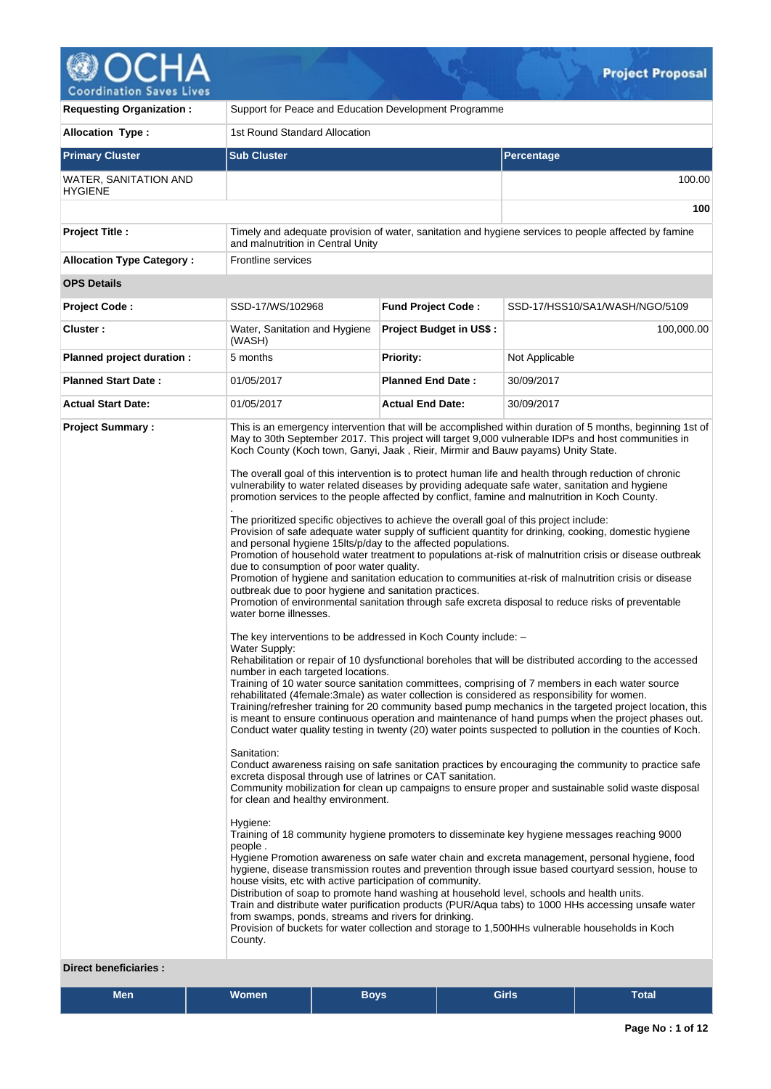

v

| <b>Requesting Organization:</b>                         | Support for Peace and Education Development Programme                                                                                                                |                                                                                                                                                                                                                                                                                                                                                                                                                                                                                                                                                                                                                                                                                                                                                                                                                                                                                                                                                                                                                                                                                                                                                                                                                                                                                                                                                                                                                                                                                                                                                                                                                                                                                                                                                                                                                                                                                                                                                                                                                                                                                                                                                                                                                                                                                                                                                                                                                                                                                                                                                                                                                                                                                                                                                                                                                                                                                                                                                                                                                                                                     |                                |  |  |  |  |  |
|---------------------------------------------------------|----------------------------------------------------------------------------------------------------------------------------------------------------------------------|---------------------------------------------------------------------------------------------------------------------------------------------------------------------------------------------------------------------------------------------------------------------------------------------------------------------------------------------------------------------------------------------------------------------------------------------------------------------------------------------------------------------------------------------------------------------------------------------------------------------------------------------------------------------------------------------------------------------------------------------------------------------------------------------------------------------------------------------------------------------------------------------------------------------------------------------------------------------------------------------------------------------------------------------------------------------------------------------------------------------------------------------------------------------------------------------------------------------------------------------------------------------------------------------------------------------------------------------------------------------------------------------------------------------------------------------------------------------------------------------------------------------------------------------------------------------------------------------------------------------------------------------------------------------------------------------------------------------------------------------------------------------------------------------------------------------------------------------------------------------------------------------------------------------------------------------------------------------------------------------------------------------------------------------------------------------------------------------------------------------------------------------------------------------------------------------------------------------------------------------------------------------------------------------------------------------------------------------------------------------------------------------------------------------------------------------------------------------------------------------------------------------------------------------------------------------------------------------------------------------------------------------------------------------------------------------------------------------------------------------------------------------------------------------------------------------------------------------------------------------------------------------------------------------------------------------------------------------------------------------------------------------------------------------------------------------|--------------------------------|--|--|--|--|--|
| <b>Allocation Type:</b>                                 | 1st Round Standard Allocation                                                                                                                                        |                                                                                                                                                                                                                                                                                                                                                                                                                                                                                                                                                                                                                                                                                                                                                                                                                                                                                                                                                                                                                                                                                                                                                                                                                                                                                                                                                                                                                                                                                                                                                                                                                                                                                                                                                                                                                                                                                                                                                                                                                                                                                                                                                                                                                                                                                                                                                                                                                                                                                                                                                                                                                                                                                                                                                                                                                                                                                                                                                                                                                                                                     |                                |  |  |  |  |  |
| <b>Primary Cluster</b>                                  | <b>Sub Cluster</b>                                                                                                                                                   |                                                                                                                                                                                                                                                                                                                                                                                                                                                                                                                                                                                                                                                                                                                                                                                                                                                                                                                                                                                                                                                                                                                                                                                                                                                                                                                                                                                                                                                                                                                                                                                                                                                                                                                                                                                                                                                                                                                                                                                                                                                                                                                                                                                                                                                                                                                                                                                                                                                                                                                                                                                                                                                                                                                                                                                                                                                                                                                                                                                                                                                                     | Percentage                     |  |  |  |  |  |
| WATER, SANITATION AND<br><b>HYGIENE</b>                 |                                                                                                                                                                      |                                                                                                                                                                                                                                                                                                                                                                                                                                                                                                                                                                                                                                                                                                                                                                                                                                                                                                                                                                                                                                                                                                                                                                                                                                                                                                                                                                                                                                                                                                                                                                                                                                                                                                                                                                                                                                                                                                                                                                                                                                                                                                                                                                                                                                                                                                                                                                                                                                                                                                                                                                                                                                                                                                                                                                                                                                                                                                                                                                                                                                                                     | 100.00                         |  |  |  |  |  |
|                                                         |                                                                                                                                                                      |                                                                                                                                                                                                                                                                                                                                                                                                                                                                                                                                                                                                                                                                                                                                                                                                                                                                                                                                                                                                                                                                                                                                                                                                                                                                                                                                                                                                                                                                                                                                                                                                                                                                                                                                                                                                                                                                                                                                                                                                                                                                                                                                                                                                                                                                                                                                                                                                                                                                                                                                                                                                                                                                                                                                                                                                                                                                                                                                                                                                                                                                     |                                |  |  |  |  |  |
| <b>Project Title:</b>                                   | Timely and adequate provision of water, sanitation and hygiene services to people affected by famine<br>and malnutrition in Central Unity                            |                                                                                                                                                                                                                                                                                                                                                                                                                                                                                                                                                                                                                                                                                                                                                                                                                                                                                                                                                                                                                                                                                                                                                                                                                                                                                                                                                                                                                                                                                                                                                                                                                                                                                                                                                                                                                                                                                                                                                                                                                                                                                                                                                                                                                                                                                                                                                                                                                                                                                                                                                                                                                                                                                                                                                                                                                                                                                                                                                                                                                                                                     |                                |  |  |  |  |  |
| <b>Allocation Type Category:</b>                        | Frontline services                                                                                                                                                   |                                                                                                                                                                                                                                                                                                                                                                                                                                                                                                                                                                                                                                                                                                                                                                                                                                                                                                                                                                                                                                                                                                                                                                                                                                                                                                                                                                                                                                                                                                                                                                                                                                                                                                                                                                                                                                                                                                                                                                                                                                                                                                                                                                                                                                                                                                                                                                                                                                                                                                                                                                                                                                                                                                                                                                                                                                                                                                                                                                                                                                                                     |                                |  |  |  |  |  |
| <b>OPS Details</b>                                      |                                                                                                                                                                      |                                                                                                                                                                                                                                                                                                                                                                                                                                                                                                                                                                                                                                                                                                                                                                                                                                                                                                                                                                                                                                                                                                                                                                                                                                                                                                                                                                                                                                                                                                                                                                                                                                                                                                                                                                                                                                                                                                                                                                                                                                                                                                                                                                                                                                                                                                                                                                                                                                                                                                                                                                                                                                                                                                                                                                                                                                                                                                                                                                                                                                                                     |                                |  |  |  |  |  |
| <b>Project Code:</b>                                    | SSD-17/WS/102968                                                                                                                                                     | <b>Fund Project Code:</b>                                                                                                                                                                                                                                                                                                                                                                                                                                                                                                                                                                                                                                                                                                                                                                                                                                                                                                                                                                                                                                                                                                                                                                                                                                                                                                                                                                                                                                                                                                                                                                                                                                                                                                                                                                                                                                                                                                                                                                                                                                                                                                                                                                                                                                                                                                                                                                                                                                                                                                                                                                                                                                                                                                                                                                                                                                                                                                                                                                                                                                           | SSD-17/HSS10/SA1/WASH/NGO/5109 |  |  |  |  |  |
| Cluster:                                                | Water, Sanitation and Hygiene<br>(WASH)                                                                                                                              | <b>Project Budget in US\$:</b>                                                                                                                                                                                                                                                                                                                                                                                                                                                                                                                                                                                                                                                                                                                                                                                                                                                                                                                                                                                                                                                                                                                                                                                                                                                                                                                                                                                                                                                                                                                                                                                                                                                                                                                                                                                                                                                                                                                                                                                                                                                                                                                                                                                                                                                                                                                                                                                                                                                                                                                                                                                                                                                                                                                                                                                                                                                                                                                                                                                                                                      | 100,000.00                     |  |  |  |  |  |
| Planned project duration :                              | 5 months                                                                                                                                                             | <b>Priority:</b>                                                                                                                                                                                                                                                                                                                                                                                                                                                                                                                                                                                                                                                                                                                                                                                                                                                                                                                                                                                                                                                                                                                                                                                                                                                                                                                                                                                                                                                                                                                                                                                                                                                                                                                                                                                                                                                                                                                                                                                                                                                                                                                                                                                                                                                                                                                                                                                                                                                                                                                                                                                                                                                                                                                                                                                                                                                                                                                                                                                                                                                    | Not Applicable                 |  |  |  |  |  |
| <b>Planned Start Date:</b>                              | 01/05/2017                                                                                                                                                           | <b>Planned End Date:</b>                                                                                                                                                                                                                                                                                                                                                                                                                                                                                                                                                                                                                                                                                                                                                                                                                                                                                                                                                                                                                                                                                                                                                                                                                                                                                                                                                                                                                                                                                                                                                                                                                                                                                                                                                                                                                                                                                                                                                                                                                                                                                                                                                                                                                                                                                                                                                                                                                                                                                                                                                                                                                                                                                                                                                                                                                                                                                                                                                                                                                                            | 30/09/2017                     |  |  |  |  |  |
| <b>Actual Start Date:</b>                               | 01/05/2017                                                                                                                                                           | <b>Actual End Date:</b>                                                                                                                                                                                                                                                                                                                                                                                                                                                                                                                                                                                                                                                                                                                                                                                                                                                                                                                                                                                                                                                                                                                                                                                                                                                                                                                                                                                                                                                                                                                                                                                                                                                                                                                                                                                                                                                                                                                                                                                                                                                                                                                                                                                                                                                                                                                                                                                                                                                                                                                                                                                                                                                                                                                                                                                                                                                                                                                                                                                                                                             | 30/09/2017                     |  |  |  |  |  |
| <b>Project Summary:</b><br><b>Direct beneficiaries:</b> | water borne illnesses.<br>Water Supply:<br>number in each targeted locations.<br>Sanitation:<br>for clean and healthy environment.<br>Hygiene:<br>people.<br>County. | This is an emergency intervention that will be accomplished within duration of 5 months, beginning 1st of<br>May to 30th September 2017. This project will target 9,000 vulnerable IDPs and host communities in<br>Koch County (Koch town, Ganyi, Jaak, Rieir, Mirmir and Bauw payams) Unity State.<br>The overall goal of this intervention is to protect human life and health through reduction of chronic<br>vulnerability to water related diseases by providing adequate safe water, sanitation and hygiene<br>promotion services to the people affected by conflict, famine and malnutrition in Koch County.<br>The prioritized specific objectives to achieve the overall goal of this project include:<br>Provision of safe adequate water supply of sufficient quantity for drinking, cooking, domestic hygiene<br>and personal hygiene 15lts/p/day to the affected populations.<br>Promotion of household water treatment to populations at-risk of malnutrition crisis or disease outbreak<br>due to consumption of poor water quality.<br>Promotion of hygiene and sanitation education to communities at-risk of malnutrition crisis or disease<br>outbreak due to poor hygiene and sanitation practices.<br>Promotion of environmental sanitation through safe excreta disposal to reduce risks of preventable<br>The key interventions to be addressed in Koch County include: -<br>Rehabilitation or repair of 10 dysfunctional boreholes that will be distributed according to the accessed<br>Training of 10 water source sanitation committees, comprising of 7 members in each water source<br>rehabilitated (4female:3male) as water collection is considered as responsibility for women.<br>Training/refresher training for 20 community based pump mechanics in the targeted project location, this<br>is meant to ensure continuous operation and maintenance of hand pumps when the project phases out.<br>Conduct water quality testing in twenty (20) water points suspected to pollution in the counties of Koch.<br>Conduct awareness raising on safe sanitation practices by encouraging the community to practice safe<br>excreta disposal through use of latrines or CAT sanitation.<br>Community mobilization for clean up campaigns to ensure proper and sustainable solid waste disposal<br>Training of 18 community hygiene promoters to disseminate key hygiene messages reaching 9000<br>Hygiene Promotion awareness on safe water chain and excreta management, personal hygiene, food<br>hygiene, disease transmission routes and prevention through issue based courtyard session, house to<br>house visits, etc with active participation of community.<br>Distribution of soap to promote hand washing at household level, schools and health units.<br>Train and distribute water purification products (PUR/Aqua tabs) to 1000 HHs accessing unsafe water<br>from swamps, ponds, streams and rivers for drinking.<br>Provision of buckets for water collection and storage to 1,500HHs vulnerable households in Koch |                                |  |  |  |  |  |

NG.

| Men | .<br>Women' | Boys, | <b>Girls</b> | _<br>Γotal |
|-----|-------------|-------|--------------|------------|
|     |             |       |              |            |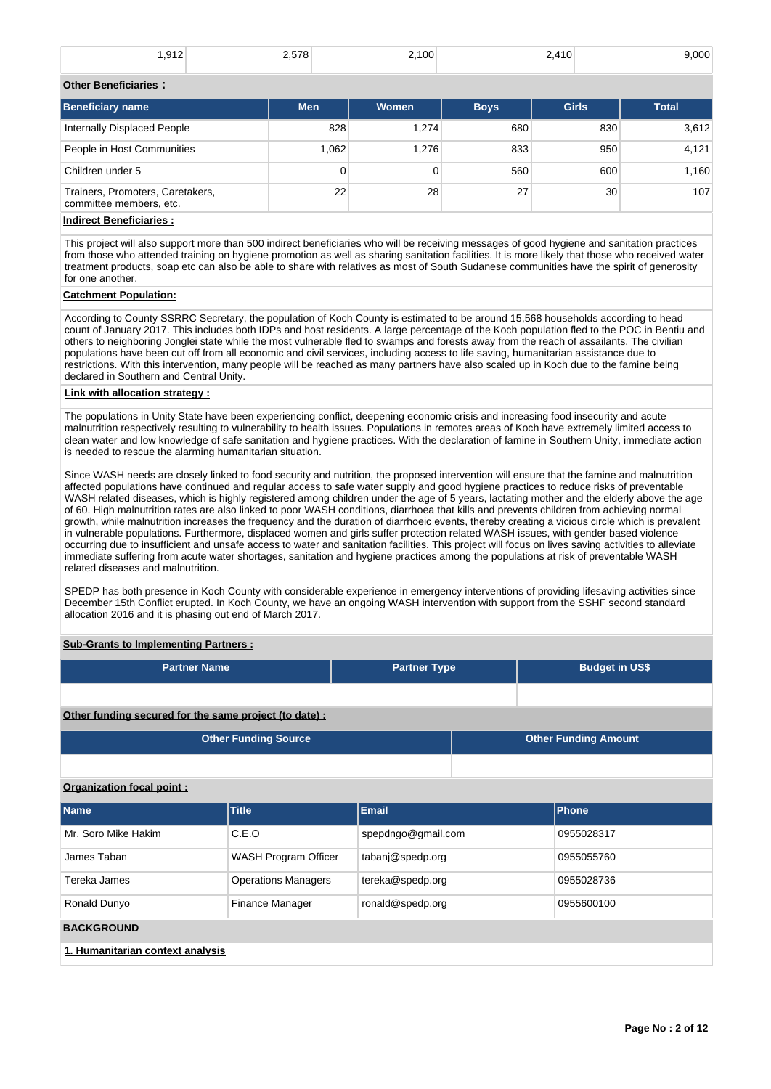| 012<br>。 . <u>.</u> | the contract of the contract of the contract of the contract of the contract of the contract of the contract of<br>$- - -$<br>$\sim$ | $\cdots$<br>$\cdot$ $\cdot$ | $\overline{a}$<br>__<br>__ | $\sim$ $\sim$ $\sim$<br>- - |
|---------------------|--------------------------------------------------------------------------------------------------------------------------------------|-----------------------------|----------------------------|-----------------------------|
|                     |                                                                                                                                      |                             |                            |                             |

# **Other Beneficiaries :**

| <b>Beneficiary name</b>                                     | <b>Men</b> | <b>Women</b> | <b>Boys</b> | <b>Girls</b>    | <b>Total</b> |
|-------------------------------------------------------------|------------|--------------|-------------|-----------------|--------------|
| Internally Displaced People                                 | 828        | 1.274        | 680         | 830             | 3,612        |
| People in Host Communities                                  | 1.062      | 1.276        | 833         | 950             | 4,121        |
| Children under 5                                            | 0          | 0            | 560         | 600             | 1.160        |
| Trainers, Promoters, Caretakers,<br>committee members, etc. | 22         | 28           | 27          | 30 <sup>°</sup> | 107          |
| Indiraat Danafiaiariaa :                                    |            |              |             |                 |              |

# **Indirect Beneficiaries :**

This project will also support more than 500 indirect beneficiaries who will be receiving messages of good hygiene and sanitation practices from those who attended training on hygiene promotion as well as sharing sanitation facilities. It is more likely that those who received water treatment products, soap etc can also be able to share with relatives as most of South Sudanese communities have the spirit of generosity for one another.

# **Catchment Population:**

According to County SSRRC Secretary, the population of Koch County is estimated to be around 15,568 households according to head count of January 2017. This includes both IDPs and host residents. A large percentage of the Koch population fled to the POC in Bentiu and others to neighboring Jonglei state while the most vulnerable fled to swamps and forests away from the reach of assailants. The civilian populations have been cut off from all economic and civil services, including access to life saving, humanitarian assistance due to restrictions. With this intervention, many people will be reached as many partners have also scaled up in Koch due to the famine being declared in Southern and Central Unity.

# **Link with allocation strategy :**

The populations in Unity State have been experiencing conflict, deepening economic crisis and increasing food insecurity and acute malnutrition respectively resulting to vulnerability to health issues. Populations in remotes areas of Koch have extremely limited access to clean water and low knowledge of safe sanitation and hygiene practices. With the declaration of famine in Southern Unity, immediate action is needed to rescue the alarming humanitarian situation.

Since WASH needs are closely linked to food security and nutrition, the proposed intervention will ensure that the famine and malnutrition affected populations have continued and regular access to safe water supply and good hygiene practices to reduce risks of preventable WASH related diseases, which is highly registered among children under the age of 5 years, lactating mother and the elderly above the age of 60. High malnutrition rates are also linked to poor WASH conditions, diarrhoea that kills and prevents children from achieving normal growth, while malnutrition increases the frequency and the duration of diarrhoeic events, thereby creating a vicious circle which is prevalent in vulnerable populations. Furthermore, displaced women and girls suffer protection related WASH issues, with gender based violence occurring due to insufficient and unsafe access to water and sanitation facilities. This project will focus on lives saving activities to alleviate immediate suffering from acute water shortages, sanitation and hygiene practices among the populations at risk of preventable WASH related diseases and malnutrition.

SPEDP has both presence in Koch County with considerable experience in emergency interventions of providing lifesaving activities since December 15th Conflict erupted. In Koch County, we have an ongoing WASH intervention with support from the SSHF second standard allocation 2016 and it is phasing out end of March 2017.

# **Sub-Grants to Implementing Partners :**

| <b>Partner Name</b>                                    | <b>Partner Type</b> | <b>Budget in US\$</b>       |
|--------------------------------------------------------|---------------------|-----------------------------|
|                                                        |                     |                             |
| Other funding secured for the same project (to date) : |                     |                             |
| <b>Other Funding Source</b>                            |                     | <b>Other Funding Amount</b> |
|                                                        |                     |                             |

# **Organization focal point :**

| <b>Name</b>                      | <b>Title</b>               | <b>Email</b>       | <b>Phone</b> |  |  |  |  |  |  |  |
|----------------------------------|----------------------------|--------------------|--------------|--|--|--|--|--|--|--|
| Mr. Soro Mike Hakim              | C.E.O                      | spepdngo@gmail.com | 0955028317   |  |  |  |  |  |  |  |
| James Taban                      | WASH Program Officer       | tabanj@spedp.org   | 0955055760   |  |  |  |  |  |  |  |
| Tereka James                     | <b>Operations Managers</b> | tereka@spedp.org   | 0955028736   |  |  |  |  |  |  |  |
| Ronald Dunyo                     | <b>Finance Manager</b>     | ronald@spedp.org   | 0955600100   |  |  |  |  |  |  |  |
| <b>BACKGROUND</b>                |                            |                    |              |  |  |  |  |  |  |  |
| 1. Humanitarian context analysis |                            |                    |              |  |  |  |  |  |  |  |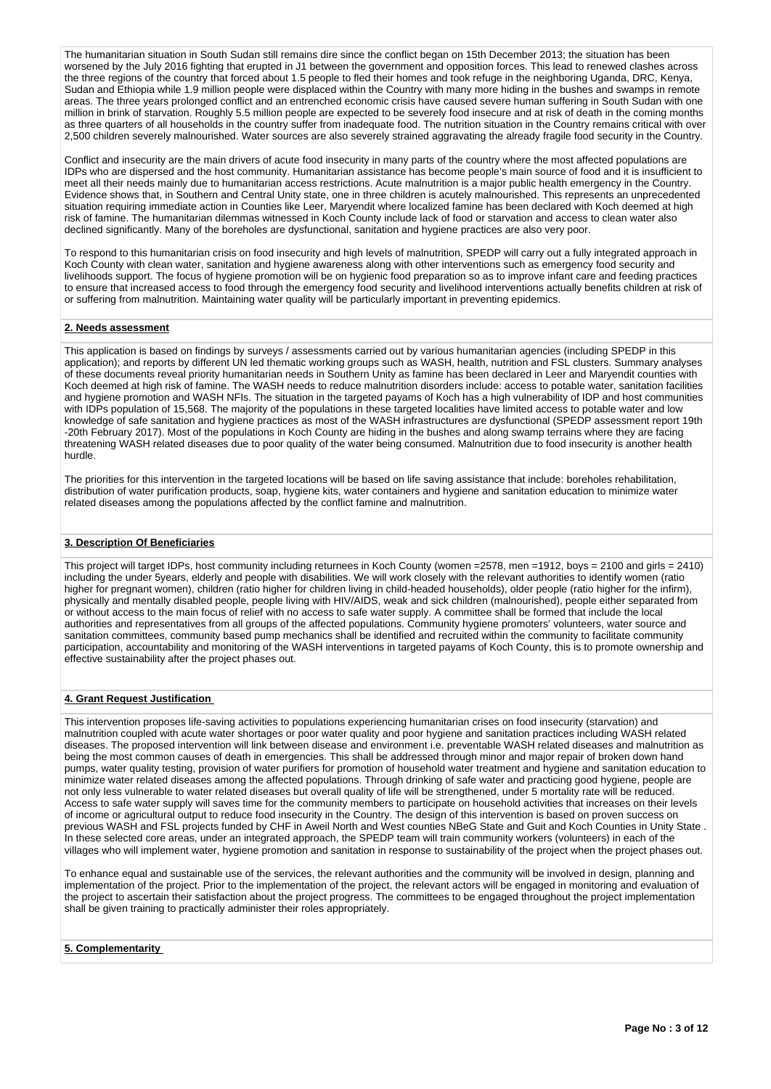The humanitarian situation in South Sudan still remains dire since the conflict began on 15th December 2013; the situation has been worsened by the July 2016 fighting that erupted in J1 between the government and opposition forces. This lead to renewed clashes across the three regions of the country that forced about 1.5 people to fled their homes and took refuge in the neighboring Uganda, DRC, Kenya, Sudan and Ethiopia while 1.9 million people were displaced within the Country with many more hiding in the bushes and swamps in remote areas. The three years prolonged conflict and an entrenched economic crisis have caused severe human suffering in South Sudan with one million in brink of starvation. Roughly 5.5 million people are expected to be severely food insecure and at risk of death in the coming months as three quarters of all households in the country suffer from inadequate food. The nutrition situation in the Country remains critical with over 2,500 children severely malnourished. Water sources are also severely strained aggravating the already fragile food security in the Country.

Conflict and insecurity are the main drivers of acute food insecurity in many parts of the country where the most affected populations are IDPs who are dispersed and the host community. Humanitarian assistance has become people's main source of food and it is insufficient to meet all their needs mainly due to humanitarian access restrictions. Acute malnutrition is a major public health emergency in the Country. Evidence shows that, in Southern and Central Unity state, one in three children is acutely malnourished. This represents an unprecedented situation requiring immediate action in Counties like Leer, Maryendit where localized famine has been declared with Koch deemed at high risk of famine. The humanitarian dilemmas witnessed in Koch County include lack of food or starvation and access to clean water also declined significantly. Many of the boreholes are dysfunctional, sanitation and hygiene practices are also very poor.

To respond to this humanitarian crisis on food insecurity and high levels of malnutrition, SPEDP will carry out a fully integrated approach in Koch County with clean water, sanitation and hygiene awareness along with other interventions such as emergency food security and livelihoods support. The focus of hygiene promotion will be on hygienic food preparation so as to improve infant care and feeding practices to ensure that increased access to food through the emergency food security and livelihood interventions actually benefits children at risk of or suffering from malnutrition. Maintaining water quality will be particularly important in preventing epidemics.

# **2. Needs assessment**

This application is based on findings by surveys / assessments carried out by various humanitarian agencies (including SPEDP in this application); and reports by different UN led thematic working groups such as WASH, health, nutrition and FSL clusters. Summary analyses of these documents reveal priority humanitarian needs in Southern Unity as famine has been declared in Leer and Maryendit counties with Koch deemed at high risk of famine. The WASH needs to reduce malnutrition disorders include: access to potable water, sanitation facilities and hygiene promotion and WASH NFIs. The situation in the targeted payams of Koch has a high vulnerability of IDP and host communities with IDPs population of 15,568. The majority of the populations in these targeted localities have limited access to potable water and low knowledge of safe sanitation and hygiene practices as most of the WASH infrastructures are dysfunctional (SPEDP assessment report 19th -20th February 2017). Most of the populations in Koch County are hiding in the bushes and along swamp terrains where they are facing threatening WASH related diseases due to poor quality of the water being consumed. Malnutrition due to food insecurity is another health hurdle.

The priorities for this intervention in the targeted locations will be based on life saving assistance that include: boreholes rehabilitation, distribution of water purification products, soap, hygiene kits, water containers and hygiene and sanitation education to minimize water related diseases among the populations affected by the conflict famine and malnutrition.

# **3. Description Of Beneficiaries**

This project will target IDPs, host community including returnees in Koch County (women =2578, men =1912, boys = 2100 and girls = 2410) including the under 5years, elderly and people with disabilities. We will work closely with the relevant authorities to identify women (ratio higher for pregnant women), children (ratio higher for children living in child-headed households), older people (ratio higher for the infirm), physically and mentally disabled people, people living with HIV/AIDS, weak and sick children (malnourished), people either separated from or without access to the main focus of relief with no access to safe water supply. A committee shall be formed that include the local authorities and representatives from all groups of the affected populations. Community hygiene promoters' volunteers, water source and sanitation committees, community based pump mechanics shall be identified and recruited within the community to facilitate community participation, accountability and monitoring of the WASH interventions in targeted payams of Koch County, this is to promote ownership and effective sustainability after the project phases out.

#### **4. Grant Request Justification**

This intervention proposes life-saving activities to populations experiencing humanitarian crises on food insecurity (starvation) and malnutrition coupled with acute water shortages or poor water quality and poor hygiene and sanitation practices including WASH related diseases. The proposed intervention will link between disease and environment i.e. preventable WASH related diseases and malnutrition as being the most common causes of death in emergencies. This shall be addressed through minor and major repair of broken down hand pumps, water quality testing, provision of water purifiers for promotion of household water treatment and hygiene and sanitation education to minimize water related diseases among the affected populations. Through drinking of safe water and practicing good hygiene, people are not only less vulnerable to water related diseases but overall quality of life will be strengthened, under 5 mortality rate will be reduced. Access to safe water supply will saves time for the community members to participate on household activities that increases on their levels of income or agricultural output to reduce food insecurity in the Country. The design of this intervention is based on proven success on previous WASH and FSL projects funded by CHF in Aweil North and West counties NBeG State and Guit and Koch Counties in Unity State . In these selected core areas, under an integrated approach, the SPEDP team will train community workers (volunteers) in each of the villages who will implement water, hygiene promotion and sanitation in response to sustainability of the project when the project phases out.

To enhance equal and sustainable use of the services, the relevant authorities and the community will be involved in design, planning and implementation of the project. Prior to the implementation of the project, the relevant actors will be engaged in monitoring and evaluation of the project to ascertain their satisfaction about the project progress. The committees to be engaged throughout the project implementation shall be given training to practically administer their roles appropriately.

### **5. Complementarity**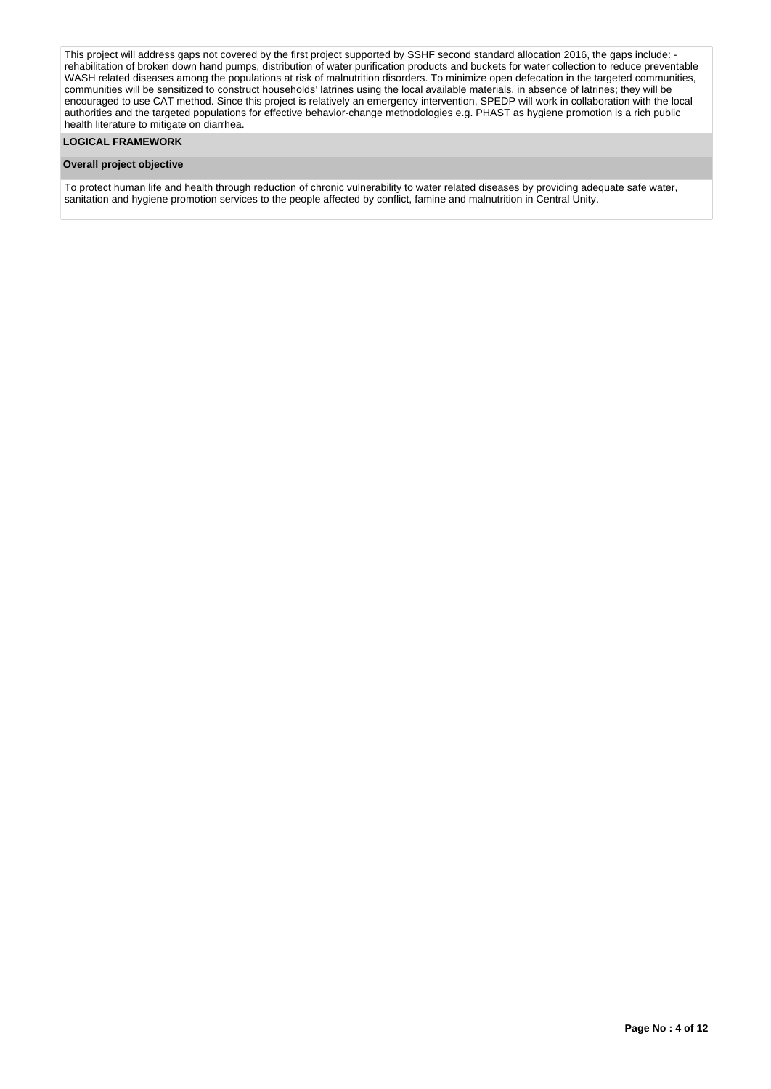This project will address gaps not covered by the first project supported by SSHF second standard allocation 2016, the gaps include: rehabilitation of broken down hand pumps, distribution of water purification products and buckets for water collection to reduce preventable WASH related diseases among the populations at risk of malnutrition disorders. To minimize open defecation in the targeted communities, communities will be sensitized to construct households' latrines using the local available materials, in absence of latrines; they will be encouraged to use CAT method. Since this project is relatively an emergency intervention, SPEDP will work in collaboration with the local authorities and the targeted populations for effective behavior-change methodologies e.g. PHAST as hygiene promotion is a rich public health literature to mitigate on diarrhea.

# **LOGICAL FRAMEWORK**

#### **Overall project objective**

To protect human life and health through reduction of chronic vulnerability to water related diseases by providing adequate safe water, sanitation and hygiene promotion services to the people affected by conflict, famine and malnutrition in Central Unity.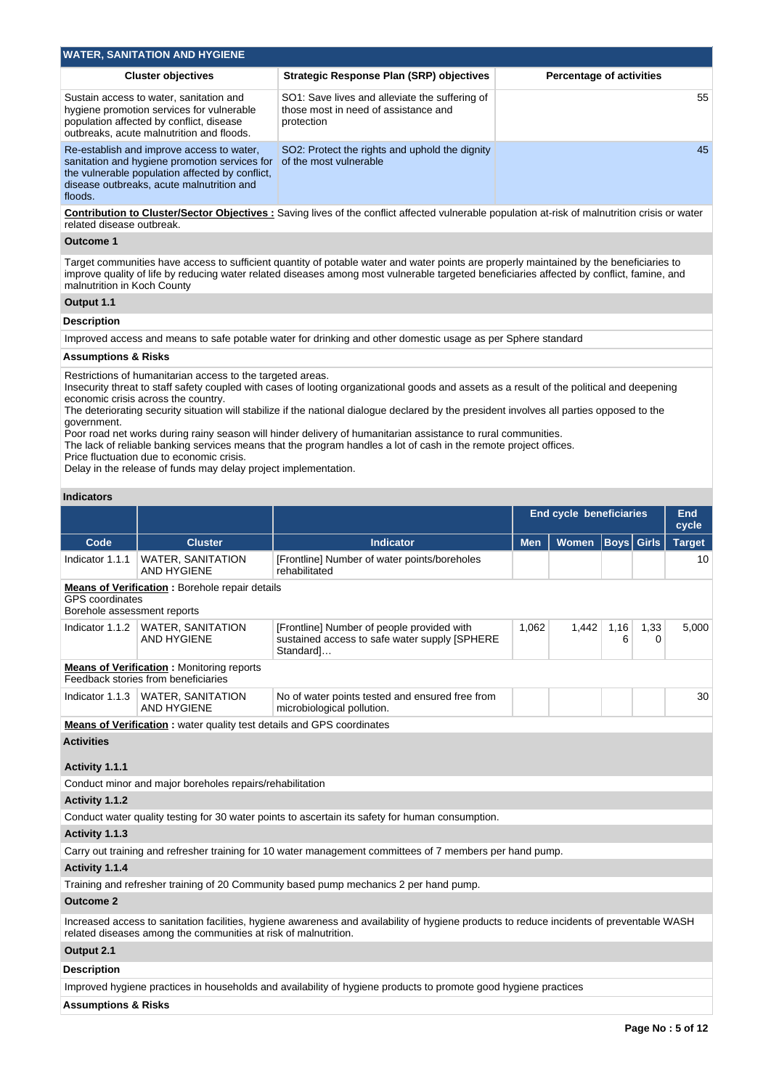| <b>WATER, SANITATION AND HYGIENE</b>                                                                                                                                                                  |                                                                                                      |                                 |  |  |  |  |  |  |  |  |  |
|-------------------------------------------------------------------------------------------------------------------------------------------------------------------------------------------------------|------------------------------------------------------------------------------------------------------|---------------------------------|--|--|--|--|--|--|--|--|--|
| <b>Cluster objectives</b>                                                                                                                                                                             | <b>Strategic Response Plan (SRP) objectives</b>                                                      | <b>Percentage of activities</b> |  |  |  |  |  |  |  |  |  |
| Sustain access to water, sanitation and<br>hygiene promotion services for vulnerable<br>population affected by conflict, disease<br>outbreaks, acute malnutrition and floods.                         | SO1: Save lives and alleviate the suffering of<br>those most in need of assistance and<br>protection | 55                              |  |  |  |  |  |  |  |  |  |
| Re-establish and improve access to water,<br>sanitation and hygiene promotion services for<br>the vulnerable population affected by conflict,<br>disease outbreaks, acute malnutrition and<br>floods. | SO2: Protect the rights and uphold the dignity<br>of the most vulnerable                             | 45                              |  |  |  |  |  |  |  |  |  |

**Contribution to Cluster/Sector Objectives :** Saving lives of the conflict affected vulnerable population at-risk of malnutrition crisis or water related disease outbreak.

#### **Outcome 1**

Target communities have access to sufficient quantity of potable water and water points are properly maintained by the beneficiaries to improve quality of life by reducing water related diseases among most vulnerable targeted beneficiaries affected by conflict, famine, and malnutrition in Koch County

# **Output 1.1**

## **Description**

Improved access and means to safe potable water for drinking and other domestic usage as per Sphere standard

#### **Assumptions & Risks**

Restrictions of humanitarian access to the targeted areas.

Insecurity threat to staff safety coupled with cases of looting organizational goods and assets as a result of the political and deepening economic crisis across the country.

The deteriorating security situation will stabilize if the national dialogue declared by the president involves all parties opposed to the government.

Poor road net works during rainy season will hinder delivery of humanitarian assistance to rural communities.

The lack of reliable banking services means that the program handles a lot of cash in the remote project offices.

Price fluctuation due to economic crisis.

Delay in the release of funds may delay project implementation.

#### **Indicators**

|                                                                                                                |                                                                                         |                                                                                                                    | End cycle beneficiaries |              |                   |           | End<br>cycle  |
|----------------------------------------------------------------------------------------------------------------|-----------------------------------------------------------------------------------------|--------------------------------------------------------------------------------------------------------------------|-------------------------|--------------|-------------------|-----------|---------------|
| Code                                                                                                           | <b>Cluster</b>                                                                          | <b>Indicator</b>                                                                                                   | <b>Men</b>              | <b>Women</b> | <b>Boys Girls</b> |           | <b>Target</b> |
| Indicator 1.1.1                                                                                                | <b>WATER, SANITATION</b><br><b>AND HYGIENE</b>                                          | [Frontline] Number of water points/boreholes<br>rehabilitated                                                      |                         |              |                   |           | 10            |
| <b>Means of Verification:</b> Borehole repair details<br><b>GPS</b> coordinates<br>Borehole assessment reports |                                                                                         |                                                                                                                    |                         |              |                   |           |               |
| Indicator 1.1.2                                                                                                | <b>WATER, SANITATION</b><br><b>AND HYGIENE</b>                                          | 1,062<br>[Frontline] Number of people provided with<br>sustained access to safe water supply [SPHERE]<br>Standard] |                         | 1,442        | 1,16<br>6         | 1,33<br>0 | 5,000         |
|                                                                                                                | <b>Means of Verification:</b> Monitoring reports<br>Feedback stories from beneficiaries |                                                                                                                    |                         |              |                   |           |               |
| Indicator 1.1.3                                                                                                | <b>WATER, SANITATION</b><br><b>AND HYGIENE</b>                                          | No of water points tested and ensured free from<br>microbiological pollution.                                      |                         |              |                   |           | 30            |
|                                                                                                                | <b>Means of Verification:</b> water quality test details and GPS coordinates            |                                                                                                                    |                         |              |                   |           |               |
| <b>Activities</b><br>Activity 1.1.1                                                                            |                                                                                         |                                                                                                                    |                         |              |                   |           |               |
|                                                                                                                | Conduct minor and major boreholes repairs/rehabilitation                                |                                                                                                                    |                         |              |                   |           |               |
| Activity 1.1.2                                                                                                 |                                                                                         |                                                                                                                    |                         |              |                   |           |               |
|                                                                                                                |                                                                                         | Conduct water quality testing for 30 water points to ascertain its safety for human consumption.                   |                         |              |                   |           |               |
|                                                                                                                |                                                                                         |                                                                                                                    |                         |              |                   |           |               |
| Activity 1.1.3                                                                                                 |                                                                                         |                                                                                                                    |                         |              |                   |           |               |

Carry out training and refresher training for 10 water management committees of 7 members per hand pump.

# **Activity 1.1.4**

Training and refresher training of 20 Community based pump mechanics 2 per hand pump.

#### **Outcome 2**

Increased access to sanitation facilities, hygiene awareness and availability of hygiene products to reduce incidents of preventable WASH related diseases among the communities at risk of malnutrition.

#### **Output 2.1**

**Description**

Improved hygiene practices in households and availability of hygiene products to promote good hygiene practices

#### **Assumptions & Risks**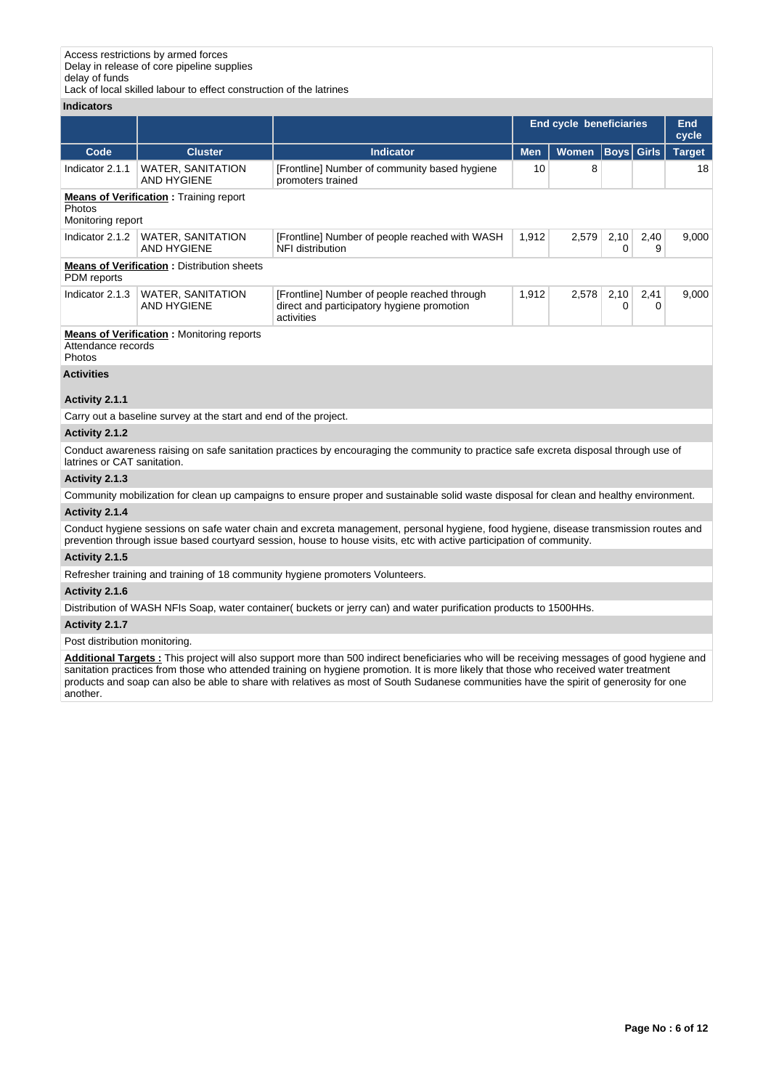Lack of local skilled labour to effect construction of the latrines

# **Indicators**

|                              |                                                                  |                                                                                                          | <b>End cycle beneficiaries</b> |                            |           |           | End<br>cycle  |
|------------------------------|------------------------------------------------------------------|----------------------------------------------------------------------------------------------------------|--------------------------------|----------------------------|-----------|-----------|---------------|
| Code                         | <b>Cluster</b>                                                   | <b>Indicator</b>                                                                                         | <b>Men</b>                     | <b>Boys Girls</b><br>Women |           |           | <b>Target</b> |
| Indicator 2.1.1              | <b>WATER, SANITATION</b><br>AND HYGIENE                          | [Frontline] Number of community based hygiene<br>promoters trained                                       | 10                             | 8                          |           |           | 18            |
| Photos<br>Monitoring report  | <b>Means of Verification:</b> Training report                    |                                                                                                          |                                |                            |           |           |               |
| Indicator 2.1.2              | <b>WATER, SANITATION</b><br><b>AND HYGIENE</b>                   | 1,912<br>[Frontline] Number of people reached with WASH<br>NFI distribution                              |                                | 2,579                      | 2,10<br>0 | 2,40<br>9 | 9,000         |
| PDM reports                  | <b>Means of Verification: Distribution sheets</b>                |                                                                                                          |                                |                            |           |           |               |
| Indicator 2.1.3              | <b>WATER, SANITATION</b><br><b>AND HYGIENE</b>                   | [Frontline] Number of people reached through<br>direct and participatory hygiene promotion<br>activities | 1,912                          | 2,578                      | 2,10<br>0 | 2,41<br>0 | 9,000         |
| Attendance records<br>Photos | <b>Means of Verification:</b> Monitoring reports                 |                                                                                                          |                                |                            |           |           |               |
| <b>Activities</b>            |                                                                  |                                                                                                          |                                |                            |           |           |               |
| Activity 2.1.1               |                                                                  |                                                                                                          |                                |                            |           |           |               |
|                              | Carry out a baseline survey at the start and end of the project. |                                                                                                          |                                |                            |           |           |               |
| Activity 2.1.2               |                                                                  |                                                                                                          |                                |                            |           |           |               |

Conduct awareness raising on safe sanitation practices by encouraging the community to practice safe excreta disposal through use of latrines or CAT sanitation.

# **Activity 2.1.3**

Community mobilization for clean up campaigns to ensure proper and sustainable solid waste disposal for clean and healthy environment.

# **Activity 2.1.4**

Conduct hygiene sessions on safe water chain and excreta management, personal hygiene, food hygiene, disease transmission routes and prevention through issue based courtyard session, house to house visits, etc with active participation of community.

## **Activity 2.1.5**

Refresher training and training of 18 community hygiene promoters Volunteers.

# **Activity 2.1.6**

Distribution of WASH NFIs Soap, water container( buckets or jerry can) and water purification products to 1500HHs.

# **Activity 2.1.7**

# Post distribution monitoring.

**Additional Targets :** This project will also support more than 500 indirect beneficiaries who will be receiving messages of good hygiene and sanitation practices from those who attended training on hygiene promotion. It is more likely that those who received water treatment products and soap can also be able to share with relatives as most of South Sudanese communities have the spirit of generosity for one another.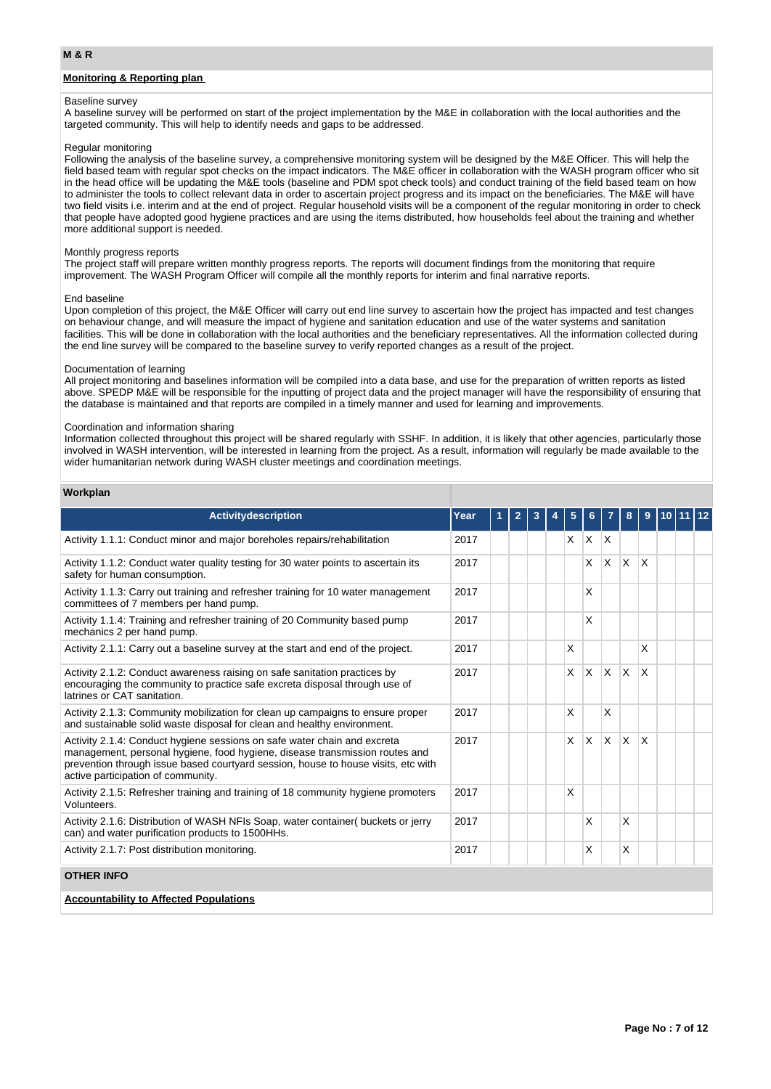# **Monitoring & Reporting plan**

#### Baseline survey

A baseline survey will be performed on start of the project implementation by the M&E in collaboration with the local authorities and the targeted community. This will help to identify needs and gaps to be addressed.

#### Regular monitoring

Following the analysis of the baseline survey, a comprehensive monitoring system will be designed by the M&E Officer. This will help the field based team with regular spot checks on the impact indicators. The M&E officer in collaboration with the WASH program officer who sit in the head office will be updating the M&E tools (baseline and PDM spot check tools) and conduct training of the field based team on how to administer the tools to collect relevant data in order to ascertain project progress and its impact on the beneficiaries. The M&E will have two field visits i.e. interim and at the end of project. Regular household visits will be a component of the regular monitoring in order to check that people have adopted good hygiene practices and are using the items distributed, how households feel about the training and whether more additional support is needed.

#### Monthly progress reports

The project staff will prepare written monthly progress reports. The reports will document findings from the monitoring that require improvement. The WASH Program Officer will compile all the monthly reports for interim and final narrative reports.

#### End baseline

Upon completion of this project, the M&E Officer will carry out end line survey to ascertain how the project has impacted and test changes on behaviour change, and will measure the impact of hygiene and sanitation education and use of the water systems and sanitation facilities. This will be done in collaboration with the local authorities and the beneficiary representatives. All the information collected during the end line survey will be compared to the baseline survey to verify reported changes as a result of the project.

#### Documentation of learning

All project monitoring and baselines information will be compiled into a data base, and use for the preparation of written reports as listed above. SPEDP M&E will be responsible for the inputting of project data and the project manager will have the responsibility of ensuring that the database is maintained and that reports are compiled in a timely manner and used for learning and improvements.

#### Coordination and information sharing

Information collected throughout this project will be shared regularly with SSHF. In addition, it is likely that other agencies, particularly those involved in WASH intervention, will be interested in learning from the project. As a result, information will regularly be made available to the wider humanitarian network during WASH cluster meetings and coordination meetings.

#### **Workplan**

| <b>Activitydescription</b>                                                                                                                                                                                                                                                         | Year |  |  |   |              |                         |              |              |  |  |
|------------------------------------------------------------------------------------------------------------------------------------------------------------------------------------------------------------------------------------------------------------------------------------|------|--|--|---|--------------|-------------------------|--------------|--------------|--|--|
| Activity 1.1.1: Conduct minor and major boreholes repairs/rehabilitation                                                                                                                                                                                                           | 2017 |  |  | X | X.           | $\mathsf{I} \mathsf{X}$ |              |              |  |  |
| Activity 1.1.2: Conduct water quality testing for 30 water points to ascertain its<br>safety for human consumption.                                                                                                                                                                | 2017 |  |  |   | X            | X                       | ΙX.          | X            |  |  |
| Activity 1.1.3: Carry out training and refresher training for 10 water management<br>committees of 7 members per hand pump.                                                                                                                                                        | 2017 |  |  |   | х            |                         |              |              |  |  |
| Activity 1.1.4: Training and refresher training of 20 Community based pump<br>mechanics 2 per hand pump.                                                                                                                                                                           | 2017 |  |  |   | X            |                         |              |              |  |  |
| Activity 2.1.1: Carry out a baseline survey at the start and end of the project.                                                                                                                                                                                                   | 2017 |  |  | X |              |                         |              | X            |  |  |
| Activity 2.1.2: Conduct awareness raising on safe sanitation practices by<br>encouraging the community to practice safe excreta disposal through use of<br>latrines or CAT sanitation.                                                                                             | 2017 |  |  | X | $\mathsf{x}$ | X                       | $\mathsf{X}$ | $\mathsf{x}$ |  |  |
| Activity 2.1.3: Community mobilization for clean up campaigns to ensure proper<br>and sustainable solid waste disposal for clean and healthy environment.                                                                                                                          | 2017 |  |  | X |              | X                       |              |              |  |  |
| Activity 2.1.4: Conduct hygiene sessions on safe water chain and excreta<br>management, personal hygiene, food hygiene, disease transmission routes and<br>prevention through issue based courtyard session, house to house visits, etc with<br>active participation of community. | 2017 |  |  | X | IX.          | X.                      | $\mathsf{X}$ | $\mathsf{x}$ |  |  |
| Activity 2.1.5: Refresher training and training of 18 community hygiene promoters<br>Volunteers.                                                                                                                                                                                   | 2017 |  |  | X |              |                         |              |              |  |  |
| Activity 2.1.6: Distribution of WASH NFIs Soap, water container( buckets or jerry<br>can) and water purification products to 1500HHs.                                                                                                                                              | 2017 |  |  |   | X            |                         | X            |              |  |  |
| Activity 2.1.7: Post distribution monitoring.                                                                                                                                                                                                                                      | 2017 |  |  |   | X            |                         | X            |              |  |  |
| <b>OTHER INFO</b>                                                                                                                                                                                                                                                                  |      |  |  |   |              |                         |              |              |  |  |
| <b>Accountability to Affected Populations</b>                                                                                                                                                                                                                                      |      |  |  |   |              |                         |              |              |  |  |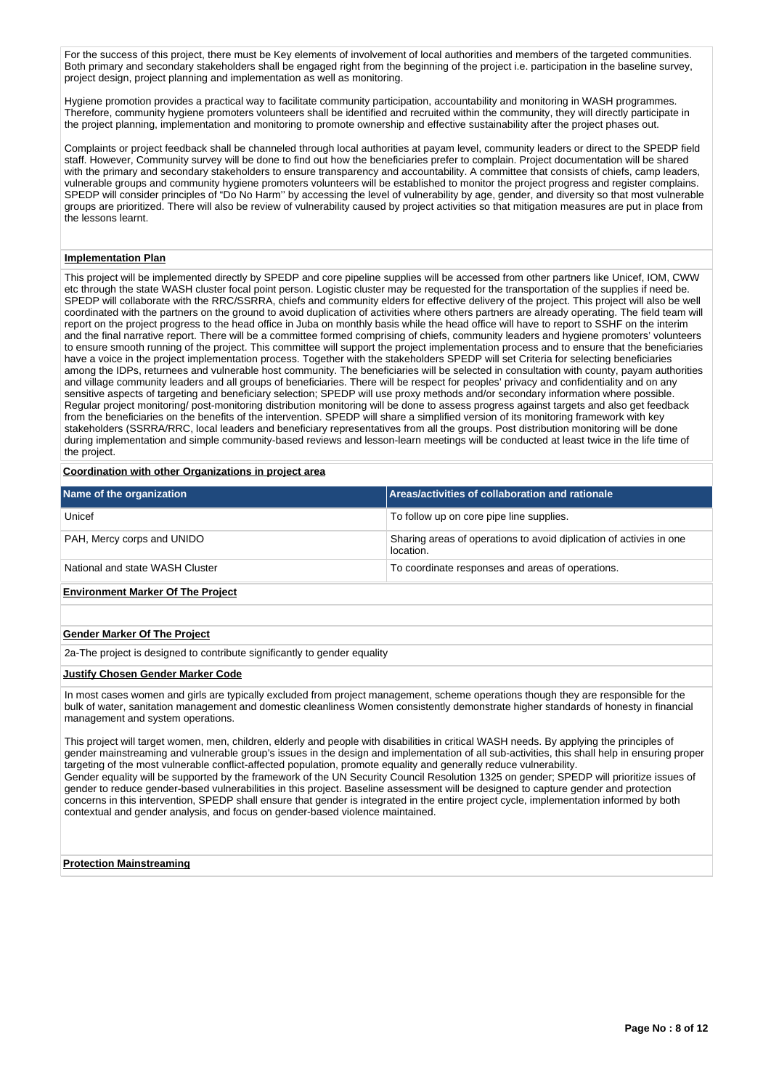For the success of this project, there must be Key elements of involvement of local authorities and members of the targeted communities. Both primary and secondary stakeholders shall be engaged right from the beginning of the project i.e. participation in the baseline survey, project design, project planning and implementation as well as monitoring.

Hygiene promotion provides a practical way to facilitate community participation, accountability and monitoring in WASH programmes. Therefore, community hygiene promoters volunteers shall be identified and recruited within the community, they will directly participate in the project planning, implementation and monitoring to promote ownership and effective sustainability after the project phases out.

Complaints or project feedback shall be channeled through local authorities at payam level, community leaders or direct to the SPEDP field staff. However, Community survey will be done to find out how the beneficiaries prefer to complain. Project documentation will be shared with the primary and secondary stakeholders to ensure transparency and accountability. A committee that consists of chiefs, camp leaders, vulnerable groups and community hygiene promoters volunteers will be established to monitor the project progress and register complains. SPEDP will consider principles of "Do No Harm'' by accessing the level of vulnerability by age, gender, and diversity so that most vulnerable groups are prioritized. There will also be review of vulnerability caused by project activities so that mitigation measures are put in place from the lessons learnt.

#### **Implementation Plan**

This project will be implemented directly by SPEDP and core pipeline supplies will be accessed from other partners like Unicef, IOM, CWW etc through the state WASH cluster focal point person. Logistic cluster may be requested for the transportation of the supplies if need be. SPEDP will collaborate with the RRC/SSRRA, chiefs and community elders for effective delivery of the project. This project will also be well coordinated with the partners on the ground to avoid duplication of activities where others partners are already operating. The field team will report on the project progress to the head office in Juba on monthly basis while the head office will have to report to SSHF on the interim and the final narrative report. There will be a committee formed comprising of chiefs, community leaders and hygiene promoters' volunteers to ensure smooth running of the project. This committee will support the project implementation process and to ensure that the beneficiaries have a voice in the project implementation process. Together with the stakeholders SPEDP will set Criteria for selecting beneficiaries among the IDPs, returnees and vulnerable host community. The beneficiaries will be selected in consultation with county, payam authorities and village community leaders and all groups of beneficiaries. There will be respect for peoples' privacy and confidentiality and on any sensitive aspects of targeting and beneficiary selection; SPEDP will use proxy methods and/or secondary information where possible. Regular project monitoring/ post-monitoring distribution monitoring will be done to assess progress against targets and also get feedback from the beneficiaries on the benefits of the intervention. SPEDP will share a simplified version of its monitoring framework with key stakeholders (SSRRA/RRC, local leaders and beneficiary representatives from all the groups. Post distribution monitoring will be done during implementation and simple community-based reviews and lesson-learn meetings will be conducted at least twice in the life time of the project.

## **Coordination with other Organizations in project area**

| Name of the organization                 | Areas/activities of collaboration and rationale                                  |
|------------------------------------------|----------------------------------------------------------------------------------|
| Unicef                                   | To follow up on core pipe line supplies.                                         |
| PAH, Mercy corps and UNIDO               | Sharing areas of operations to avoid diplication of activies in one<br>location. |
| National and state WASH Cluster          | To coordinate responses and areas of operations.                                 |
| <b>Environment Marker Of The Project</b> |                                                                                  |

## **Gender Marker Of The Project**

2a-The project is designed to contribute significantly to gender equality

# **Justify Chosen Gender Marker Code**

In most cases women and girls are typically excluded from project management, scheme operations though they are responsible for the bulk of water, sanitation management and domestic cleanliness Women consistently demonstrate higher standards of honesty in financial management and system operations.

This project will target women, men, children, elderly and people with disabilities in critical WASH needs. By applying the principles of gender mainstreaming and vulnerable group's issues in the design and implementation of all sub-activities, this shall help in ensuring proper targeting of the most vulnerable conflict-affected population, promote equality and generally reduce vulnerability. Gender equality will be supported by the framework of the UN Security Council Resolution 1325 on gender; SPEDP will prioritize issues of gender to reduce gender-based vulnerabilities in this project. Baseline assessment will be designed to capture gender and protection concerns in this intervention, SPEDP shall ensure that gender is integrated in the entire project cycle, implementation informed by both contextual and gender analysis, and focus on gender-based violence maintained.

**Protection Mainstreaming**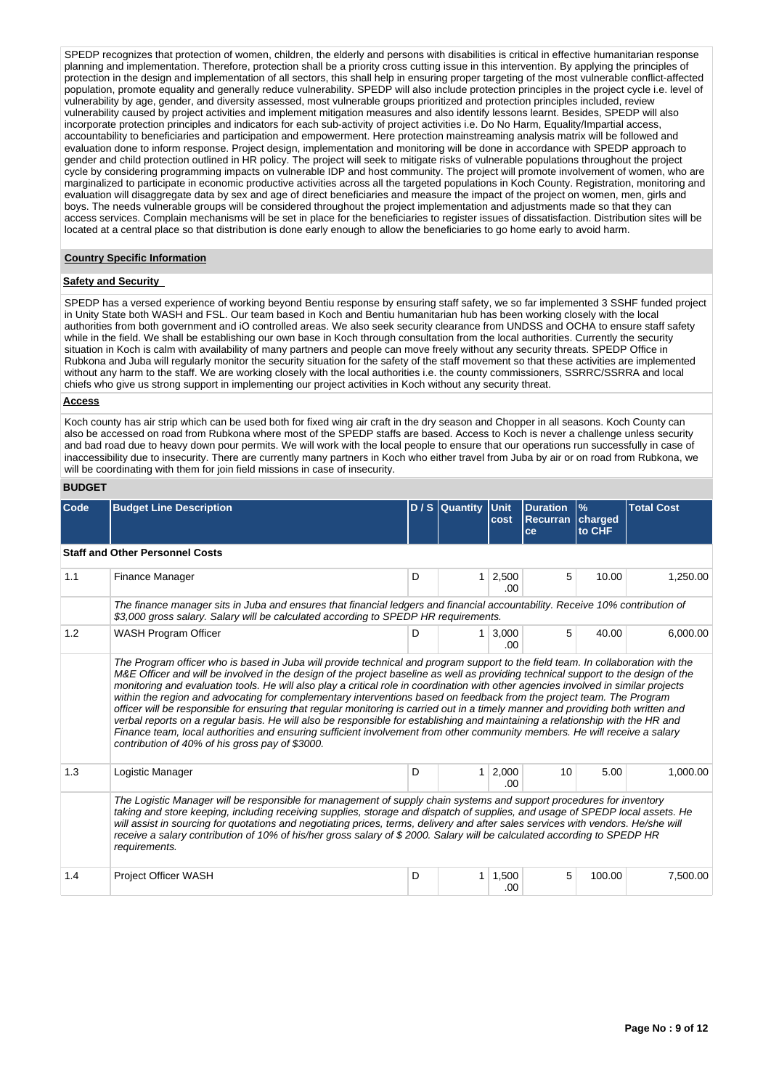SPEDP recognizes that protection of women, children, the elderly and persons with disabilities is critical in effective humanitarian response planning and implementation. Therefore, protection shall be a priority cross cutting issue in this intervention. By applying the principles of protection in the design and implementation of all sectors, this shall help in ensuring proper targeting of the most vulnerable conflict-affected population, promote equality and generally reduce vulnerability. SPEDP will also include protection principles in the project cycle i.e. level of vulnerability by age, gender, and diversity assessed, most vulnerable groups prioritized and protection principles included, review vulnerability caused by project activities and implement mitigation measures and also identify lessons learnt. Besides, SPEDP will also incorporate protection principles and indicators for each sub-activity of project activities i.e. Do No Harm, Equality/Impartial access, accountability to beneficiaries and participation and empowerment. Here protection mainstreaming analysis matrix will be followed and evaluation done to inform response. Project design, implementation and monitoring will be done in accordance with SPEDP approach to gender and child protection outlined in HR policy. The project will seek to mitigate risks of vulnerable populations throughout the project cycle by considering programming impacts on vulnerable IDP and host community. The project will promote involvement of women, who are marginalized to participate in economic productive activities across all the targeted populations in Koch County. Registration, monitoring and evaluation will disaggregate data by sex and age of direct beneficiaries and measure the impact of the project on women, men, girls and boys. The needs vulnerable groups will be considered throughout the project implementation and adjustments made so that they can access services. Complain mechanisms will be set in place for the beneficiaries to register issues of dissatisfaction. Distribution sites will be located at a central place so that distribution is done early enough to allow the beneficiaries to go home early to avoid harm.

## **Country Specific Information**

## **Safety and Security**

SPEDP has a versed experience of working beyond Bentiu response by ensuring staff safety, we so far implemented 3 SSHF funded project in Unity State both WASH and FSL. Our team based in Koch and Bentiu humanitarian hub has been working closely with the local authorities from both government and iO controlled areas. We also seek security clearance from UNDSS and OCHA to ensure staff safety while in the field. We shall be establishing our own base in Koch through consultation from the local authorities. Currently the security situation in Koch is calm with availability of many partners and people can move freely without any security threats. SPEDP Office in Rubkona and Juba will regularly monitor the security situation for the safety of the staff movement so that these activities are implemented without any harm to the staff. We are working closely with the local authorities i.e. the county commissioners, SSRRC/SSRRA and local chiefs who give us strong support in implementing our project activities in Koch without any security threat.

### **Access**

Koch county has air strip which can be used both for fixed wing air craft in the dry season and Chopper in all seasons. Koch County can also be accessed on road from Rubkona where most of the SPEDP staffs are based. Access to Koch is never a challenge unless security and bad road due to heavy down pour permits. We will work with the local people to ensure that our operations run successfully in case of inaccessibility due to insecurity. There are currently many partners in Koch who either travel from Juba by air or on road from Rubkona, we will be coordinating with them for join field missions in case of insecurity.

# **BUDGET**

| Code | <b>Budget Line Description</b>                                                                                                                                                                                                                                                                                                                                                                                                                                                                                                                                                                                                                                                                                                                                                                                                                                                                                                                                                                 |   | D / S Quantity Unit<br><b>Duration</b><br>cost<br><b>Recurran</b> |               |    |        |          |  |  |  |
|------|------------------------------------------------------------------------------------------------------------------------------------------------------------------------------------------------------------------------------------------------------------------------------------------------------------------------------------------------------------------------------------------------------------------------------------------------------------------------------------------------------------------------------------------------------------------------------------------------------------------------------------------------------------------------------------------------------------------------------------------------------------------------------------------------------------------------------------------------------------------------------------------------------------------------------------------------------------------------------------------------|---|-------------------------------------------------------------------|---------------|----|--------|----------|--|--|--|
|      |                                                                                                                                                                                                                                                                                                                                                                                                                                                                                                                                                                                                                                                                                                                                                                                                                                                                                                                                                                                                |   |                                                                   |               | ce | to CHF |          |  |  |  |
|      | <b>Staff and Other Personnel Costs</b>                                                                                                                                                                                                                                                                                                                                                                                                                                                                                                                                                                                                                                                                                                                                                                                                                                                                                                                                                         |   |                                                                   |               |    |        |          |  |  |  |
| 1.1  | Finance Manager                                                                                                                                                                                                                                                                                                                                                                                                                                                                                                                                                                                                                                                                                                                                                                                                                                                                                                                                                                                | D | 1                                                                 | 2,500<br>.00  | 5  | 10.00  | 1,250.00 |  |  |  |
|      | The finance manager sits in Juba and ensures that financial ledgers and financial accountability. Receive 10% contribution of<br>\$3,000 gross salary. Salary will be calculated according to SPEDP HR requirements.                                                                                                                                                                                                                                                                                                                                                                                                                                                                                                                                                                                                                                                                                                                                                                           |   |                                                                   |               |    |        |          |  |  |  |
| 1.2  | <b>WASH Program Officer</b>                                                                                                                                                                                                                                                                                                                                                                                                                                                                                                                                                                                                                                                                                                                                                                                                                                                                                                                                                                    | D | $\mathbf{1}$                                                      | 3.000<br>.00. | 5  | 40.00  | 6,000.00 |  |  |  |
|      | The Program officer who is based in Juba will provide technical and program support to the field team. In collaboration with the<br>M&E Officer and will be involved in the design of the project baseline as well as providing technical support to the design of the<br>monitoring and evaluation tools. He will also play a critical role in coordination with other agencies involved in similar projects<br>within the region and advocating for complementary interventions based on feedback from the project team. The Program<br>officer will be responsible for ensuring that regular monitoring is carried out in a timely manner and providing both written and<br>verbal reports on a regular basis. He will also be responsible for establishing and maintaining a relationship with the HR and<br>Finance team, local authorities and ensuring sufficient involvement from other community members. He will receive a salary<br>contribution of 40% of his gross pay of \$3000. |   |                                                                   |               |    |        |          |  |  |  |
| 1.3  | Logistic Manager                                                                                                                                                                                                                                                                                                                                                                                                                                                                                                                                                                                                                                                                                                                                                                                                                                                                                                                                                                               | D | 1                                                                 | 2,000<br>.00  | 10 | 5.00   | 1.000.00 |  |  |  |
|      | The Logistic Manager will be responsible for management of supply chain systems and support procedures for inventory<br>taking and store keeping, including receiving supplies, storage and dispatch of supplies, and usage of SPEDP local assets. He<br>will assist in sourcing for quotations and negotiating prices, terms, delivery and after sales services with vendors. He/she will<br>receive a salary contribution of 10% of his/her gross salary of \$2000. Salary will be calculated according to SPEDP HR<br>requirements.                                                                                                                                                                                                                                                                                                                                                                                                                                                         |   |                                                                   |               |    |        |          |  |  |  |
| 1.4  | <b>Project Officer WASH</b>                                                                                                                                                                                                                                                                                                                                                                                                                                                                                                                                                                                                                                                                                                                                                                                                                                                                                                                                                                    | D | 1                                                                 | 1,500<br>.00  | 5  | 100.00 | 7,500.00 |  |  |  |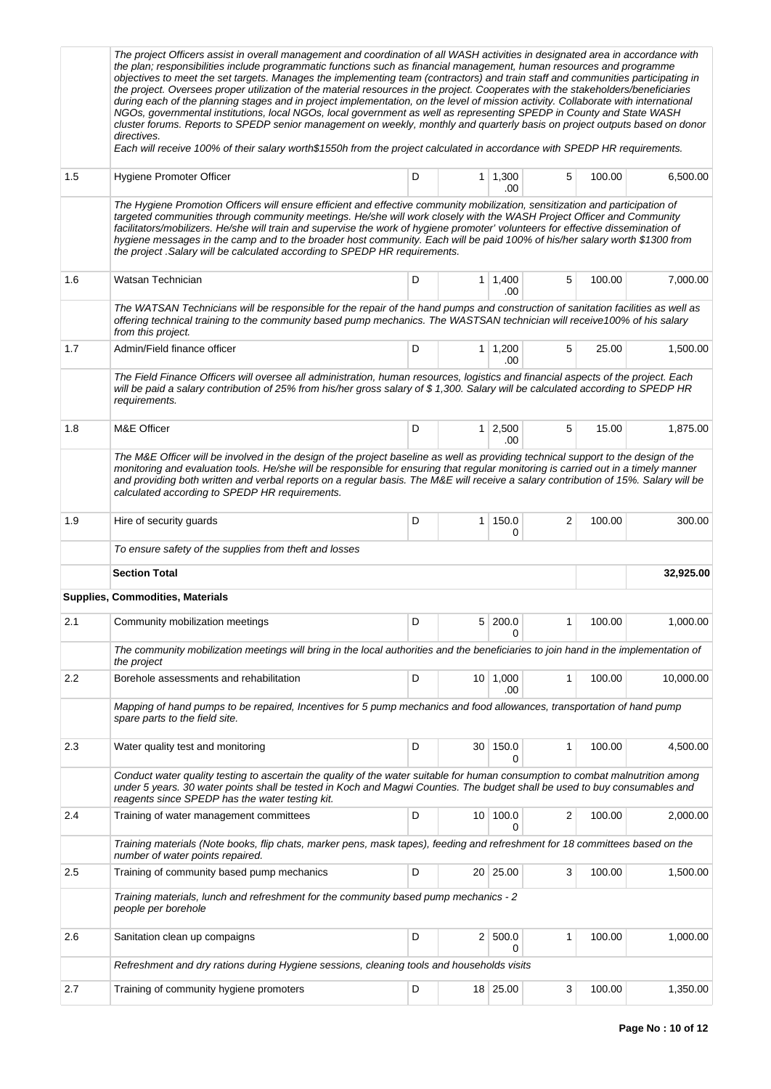|     | The project Officers assist in overall management and coordination of all WASH activities in designated area in accordance with<br>the plan; responsibilities include programmatic functions such as financial management, human resources and programme<br>objectives to meet the set targets. Manages the implementing team (contractors) and train staff and communities participating in<br>the project. Oversees proper utilization of the material resources in the project. Cooperates with the stakeholders/beneficiaries<br>during each of the planning stages and in project implementation, on the level of mission activity. Collaborate with international<br>NGOs, governmental institutions, local NGOs, local government as well as representing SPEDP in County and State WASH<br>cluster forums. Reports to SPEDP senior management on weekly, monthly and quarterly basis on project outputs based on donor<br>directives.<br>Each will receive 100% of their salary worth\$1550h from the project calculated in accordance with SPEDP HR requirements. |   |                 |                       |              |        |           |  |
|-----|----------------------------------------------------------------------------------------------------------------------------------------------------------------------------------------------------------------------------------------------------------------------------------------------------------------------------------------------------------------------------------------------------------------------------------------------------------------------------------------------------------------------------------------------------------------------------------------------------------------------------------------------------------------------------------------------------------------------------------------------------------------------------------------------------------------------------------------------------------------------------------------------------------------------------------------------------------------------------------------------------------------------------------------------------------------------------|---|-----------------|-----------------------|--------------|--------|-----------|--|
| 1.5 | Hygiene Promoter Officer                                                                                                                                                                                                                                                                                                                                                                                                                                                                                                                                                                                                                                                                                                                                                                                                                                                                                                                                                                                                                                                   | D |                 | $1 \mid 1,300$<br>.00 | 5            | 100.00 | 6,500.00  |  |
|     | The Hygiene Promotion Officers will ensure efficient and effective community mobilization, sensitization and participation of<br>targeted communities through community meetings. He/she will work closely with the WASH Project Officer and Community<br>facilitators/mobilizers. He/she will train and supervise the work of hygiene promoter' volunteers for effective dissemination of<br>hygiene messages in the camp and to the broader host community. Each will be paid 100% of his/her salary worth \$1300 from<br>the project. Salary will be calculated according to SPEDP HR requirements.                                                                                                                                                                                                                                                                                                                                                                                                                                                                     |   |                 |                       |              |        |           |  |
| 1.6 | Watsan Technician                                                                                                                                                                                                                                                                                                                                                                                                                                                                                                                                                                                                                                                                                                                                                                                                                                                                                                                                                                                                                                                          | D |                 | $1 \mid 1,400$<br>.00 | 5            | 100.00 | 7,000.00  |  |
|     | The WATSAN Technicians will be responsible for the repair of the hand pumps and construction of sanitation facilities as well as<br>offering technical training to the community based pump mechanics. The WASTSAN technician will receive100% of his salary<br>from this project.                                                                                                                                                                                                                                                                                                                                                                                                                                                                                                                                                                                                                                                                                                                                                                                         |   |                 |                       |              |        |           |  |
| 1.7 | Admin/Field finance officer                                                                                                                                                                                                                                                                                                                                                                                                                                                                                                                                                                                                                                                                                                                                                                                                                                                                                                                                                                                                                                                | D |                 | $1 \mid 1,200$<br>.00 | 5            | 25.00  | 1,500.00  |  |
|     | The Field Finance Officers will oversee all administration, human resources, logistics and financial aspects of the project. Each<br>will be paid a salary contribution of 25% from his/her gross salary of \$1,300. Salary will be calculated according to SPEDP HR<br>requirements.                                                                                                                                                                                                                                                                                                                                                                                                                                                                                                                                                                                                                                                                                                                                                                                      |   |                 |                       |              |        |           |  |
| 1.8 | M&E Officer                                                                                                                                                                                                                                                                                                                                                                                                                                                                                                                                                                                                                                                                                                                                                                                                                                                                                                                                                                                                                                                                | D |                 | $1 \mid 2,500$<br>.00 | 5            | 15.00  | 1,875.00  |  |
|     | The M&E Officer will be involved in the design of the project baseline as well as providing technical support to the design of the<br>monitoring and evaluation tools. He/she will be responsible for ensuring that regular monitoring is carried out in a timely manner<br>and providing both written and verbal reports on a regular basis. The M&E will receive a salary contribution of 15%. Salary will be<br>calculated according to SPEDP HR requirements.                                                                                                                                                                                                                                                                                                                                                                                                                                                                                                                                                                                                          |   |                 |                       |              |        |           |  |
| 1.9 | Hire of security guards                                                                                                                                                                                                                                                                                                                                                                                                                                                                                                                                                                                                                                                                                                                                                                                                                                                                                                                                                                                                                                                    | D | 1               | 150.0<br>0            | 2            | 100.00 | 300.00    |  |
|     | To ensure safety of the supplies from theft and losses                                                                                                                                                                                                                                                                                                                                                                                                                                                                                                                                                                                                                                                                                                                                                                                                                                                                                                                                                                                                                     |   |                 |                       |              |        |           |  |
|     | <b>Section Total</b>                                                                                                                                                                                                                                                                                                                                                                                                                                                                                                                                                                                                                                                                                                                                                                                                                                                                                                                                                                                                                                                       |   |                 |                       |              |        | 32,925.00 |  |
|     | Supplies, Commodities, Materials                                                                                                                                                                                                                                                                                                                                                                                                                                                                                                                                                                                                                                                                                                                                                                                                                                                                                                                                                                                                                                           |   |                 |                       |              |        |           |  |
| 2.1 | Community mobilization meetings                                                                                                                                                                                                                                                                                                                                                                                                                                                                                                                                                                                                                                                                                                                                                                                                                                                                                                                                                                                                                                            | D |                 | 5 200.0<br>0          | 1            | 100.00 | 1,000.00  |  |
|     | The community mobilization meetings will bring in the local authorities and the beneficiaries to join hand in the implementation of<br>the project                                                                                                                                                                                                                                                                                                                                                                                                                                                                                                                                                                                                                                                                                                                                                                                                                                                                                                                         |   |                 |                       |              |        |           |  |
| 2.2 | Borehole assessments and rehabilitation                                                                                                                                                                                                                                                                                                                                                                                                                                                                                                                                                                                                                                                                                                                                                                                                                                                                                                                                                                                                                                    | D |                 | $10$ 1,000<br>.00     | 1            | 100.00 | 10,000.00 |  |
|     | Mapping of hand pumps to be repaired, Incentives for 5 pump mechanics and food allowances, transportation of hand pump<br>spare parts to the field site.                                                                                                                                                                                                                                                                                                                                                                                                                                                                                                                                                                                                                                                                                                                                                                                                                                                                                                                   |   |                 |                       |              |        |           |  |
| 2.3 | Water quality test and monitoring                                                                                                                                                                                                                                                                                                                                                                                                                                                                                                                                                                                                                                                                                                                                                                                                                                                                                                                                                                                                                                          | D |                 | 30 150.0<br>0         | $\mathbf{1}$ | 100.00 | 4,500.00  |  |
|     | Conduct water quality testing to ascertain the quality of the water suitable for human consumption to combat malnutrition among<br>under 5 years. 30 water points shall be tested in Koch and Magwi Counties. The budget shall be used to buy consumables and<br>reagents since SPEDP has the water testing kit.                                                                                                                                                                                                                                                                                                                                                                                                                                                                                                                                                                                                                                                                                                                                                           |   |                 |                       |              |        |           |  |
| 2.4 | Training of water management committees                                                                                                                                                                                                                                                                                                                                                                                                                                                                                                                                                                                                                                                                                                                                                                                                                                                                                                                                                                                                                                    | D | 10 <sup>1</sup> | 100.0<br>0            | 2            | 100.00 | 2,000.00  |  |
|     | Training materials (Note books, flip chats, marker pens, mask tapes), feeding and refreshment for 18 committees based on the<br>number of water points repaired.                                                                                                                                                                                                                                                                                                                                                                                                                                                                                                                                                                                                                                                                                                                                                                                                                                                                                                           |   |                 |                       |              |        |           |  |
| 2.5 | Training of community based pump mechanics                                                                                                                                                                                                                                                                                                                                                                                                                                                                                                                                                                                                                                                                                                                                                                                                                                                                                                                                                                                                                                 | D |                 | 20 25.00              | 3            | 100.00 | 1,500.00  |  |
|     | Training materials, lunch and refreshment for the community based pump mechanics - 2<br>people per borehole                                                                                                                                                                                                                                                                                                                                                                                                                                                                                                                                                                                                                                                                                                                                                                                                                                                                                                                                                                |   |                 |                       |              |        |           |  |
| 2.6 | Sanitation clean up compaigns                                                                                                                                                                                                                                                                                                                                                                                                                                                                                                                                                                                                                                                                                                                                                                                                                                                                                                                                                                                                                                              | D |                 | 2   500.0<br>0        | 1            | 100.00 | 1,000.00  |  |
|     | Refreshment and dry rations during Hygiene sessions, cleaning tools and households visits                                                                                                                                                                                                                                                                                                                                                                                                                                                                                                                                                                                                                                                                                                                                                                                                                                                                                                                                                                                  |   |                 |                       |              |        |           |  |
| 2.7 | Training of community hygiene promoters                                                                                                                                                                                                                                                                                                                                                                                                                                                                                                                                                                                                                                                                                                                                                                                                                                                                                                                                                                                                                                    | D |                 | 18 25.00              | 3            | 100.00 | 1,350.00  |  |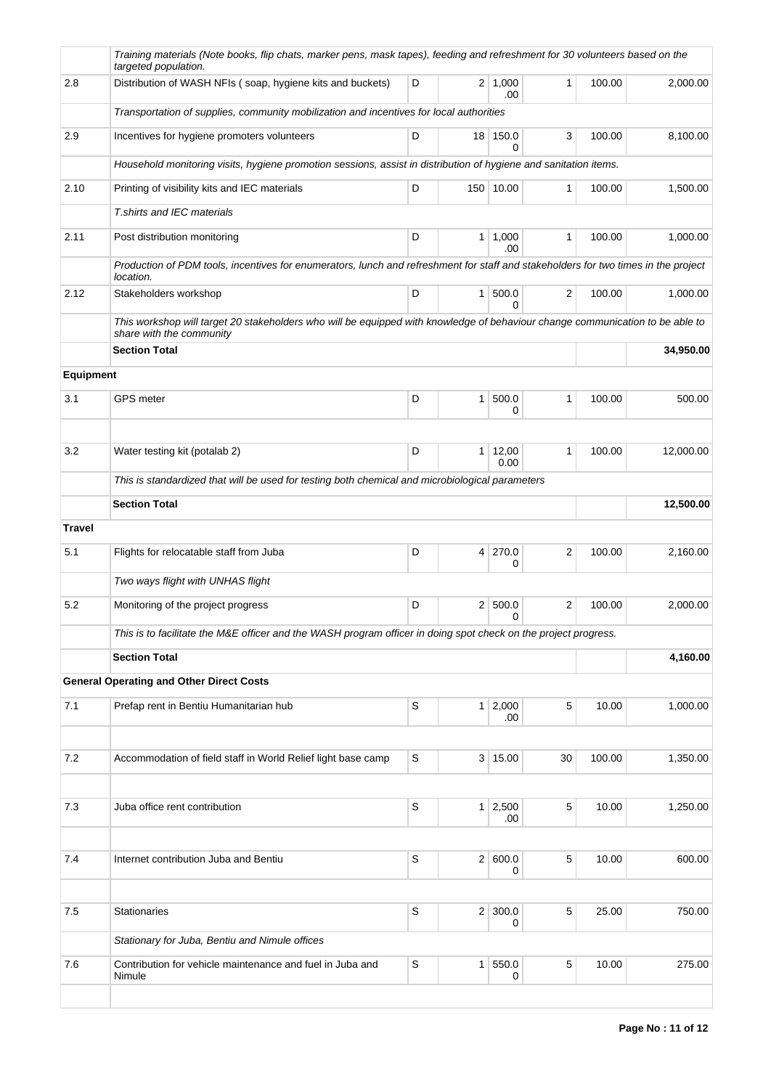|                  | Training materials (Note books, flip chats, marker pens, mask tapes), feeding and refreshment for 30 volunteers based on the<br>targeted population.      |             |                 |                        |              |        |           |  |  |
|------------------|-----------------------------------------------------------------------------------------------------------------------------------------------------------|-------------|-----------------|------------------------|--------------|--------|-----------|--|--|
| 2.8              | Distribution of WASH NFIs (soap, hygiene kits and buckets)                                                                                                | D           |                 | $2 \mid 1,000$<br>.00  | $\mathbf{1}$ | 100.00 | 2,000.00  |  |  |
|                  | Transportation of supplies, community mobilization and incentives for local authorities                                                                   |             |                 |                        |              |        |           |  |  |
| 2.9              | Incentives for hygiene promoters volunteers                                                                                                               | D           | 18 <sup>1</sup> | 150.0<br>$\Omega$      | 3            | 100.00 | 8,100.00  |  |  |
|                  | Household monitoring visits, hygiene promotion sessions, assist in distribution of hygiene and sanitation items.                                          |             |                 |                        |              |        |           |  |  |
| 2.10             | Printing of visibility kits and IEC materials                                                                                                             | D           |                 | 150 10.00              | 1            | 100.00 | 1,500.00  |  |  |
|                  | T.shirts and IEC materials                                                                                                                                |             |                 |                        |              |        |           |  |  |
| 2.11             | Post distribution monitoring                                                                                                                              | D           | 1 <sup>1</sup>  | 1,000<br>.00           | $\mathbf{1}$ | 100.00 | 1,000.00  |  |  |
|                  | Production of PDM tools, incentives for enumerators, lunch and refreshment for staff and stakeholders for two times in the project<br>location.           |             |                 |                        |              |        |           |  |  |
| 2.12             | Stakeholders workshop                                                                                                                                     | D           |                 | 1   500.0<br>$\Omega$  | 2            | 100.00 | 1,000.00  |  |  |
|                  | This workshop will target 20 stakeholders who will be equipped with knowledge of behaviour change communication to be able to<br>share with the community |             |                 |                        |              |        |           |  |  |
|                  | <b>Section Total</b>                                                                                                                                      |             |                 |                        |              |        | 34,950.00 |  |  |
| <b>Equipment</b> |                                                                                                                                                           |             |                 |                        |              |        |           |  |  |
| 3.1              | <b>GPS</b> meter                                                                                                                                          | D           | 1 <sup>1</sup>  | 500.0<br>0             | 1            | 100.00 | 500.00    |  |  |
|                  |                                                                                                                                                           |             |                 |                        |              |        |           |  |  |
| 3.2              | Water testing kit (potalab 2)                                                                                                                             | D           |                 | $1 \mid 12,00$<br>0.00 | 1            | 100.00 | 12,000.00 |  |  |
|                  | This is standardized that will be used for testing both chemical and microbiological parameters                                                           |             |                 |                        |              |        |           |  |  |
|                  | <b>Section Total</b>                                                                                                                                      |             |                 | 12,500.00              |              |        |           |  |  |
| <b>Travel</b>    |                                                                                                                                                           |             |                 |                        |              |        |           |  |  |
| 5.1              | Flights for relocatable staff from Juba                                                                                                                   | D           | $\vert 4 \vert$ | 270.0<br>0             | 2            | 100.00 | 2,160.00  |  |  |
|                  | Two ways flight with UNHAS flight                                                                                                                         |             |                 |                        |              |        |           |  |  |
| 5.2              | Monitoring of the project progress                                                                                                                        | D           |                 | 2   500.0<br>0         | 2            | 100.00 | 2,000.00  |  |  |
|                  | This is to facilitate the M&E officer and the WASH program officer in doing spot check on the project progress.                                           |             |                 |                        |              |        |           |  |  |
|                  | <b>Section Total</b>                                                                                                                                      |             |                 |                        |              |        | 4,160.00  |  |  |
|                  | <b>General Operating and Other Direct Costs</b>                                                                                                           |             |                 |                        |              |        |           |  |  |
| 7.1              | Prefap rent in Bentiu Humanitarian hub                                                                                                                    | S           |                 | 1 2,000<br>.00         | 5            | 10.00  | 1,000.00  |  |  |
| 7.2              | Accommodation of field staff in World Relief light base camp                                                                                              | $\mathsf S$ |                 | 3   15.00              | 30           | 100.00 | 1,350.00  |  |  |
|                  |                                                                                                                                                           |             |                 |                        |              |        |           |  |  |
| 7.3              | Juba office rent contribution                                                                                                                             | $\mathsf S$ |                 | 1 2,500<br>.00         | 5            | 10.00  | 1,250.00  |  |  |
| 7.4              | Internet contribution Juba and Bentiu                                                                                                                     | S           | 2               | 600.0                  | 5            | 10.00  | 600.00    |  |  |
|                  |                                                                                                                                                           |             |                 | 0                      |              |        |           |  |  |
| 7.5              | <b>Stationaries</b>                                                                                                                                       | S           | 2 <sup>2</sup>  | 300.0<br>0             | 5            | 25.00  | 750.00    |  |  |
|                  | Stationary for Juba, Bentiu and Nimule offices                                                                                                            |             |                 |                        |              |        |           |  |  |
| 7.6              | Contribution for vehicle maintenance and fuel in Juba and<br>Nimule                                                                                       | $\mathbb S$ | 1 <sup>1</sup>  | 550.0<br>0             | 5            | 10.00  | 275.00    |  |  |
|                  |                                                                                                                                                           |             |                 |                        |              |        |           |  |  |